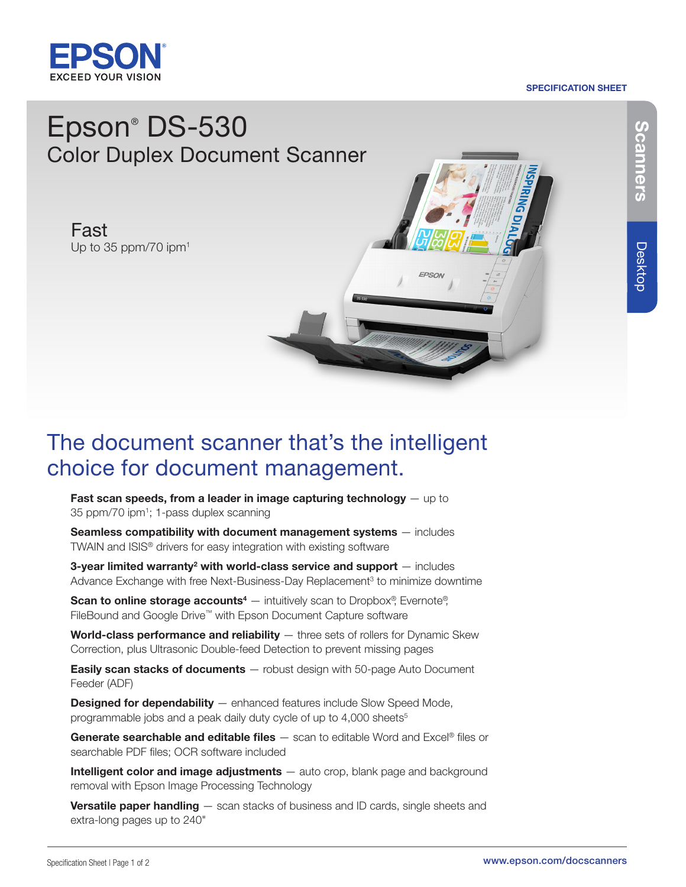

#### SPECIFICATION SHEET

EPSOI

# Epson® DS-530 Color Duplex Document Scanner

Fast Up to 35 ppm/70 ipm<sup>1</sup>

## The document scanner that's the intelligent choice for document management.

Fast scan speeds, from a leader in image capturing technology  $-$  up to 35 ppm/70 ipm1; 1-pass duplex scanning

Seamless compatibility with document management systems - includes TWAIN and ISIS® drivers for easy integration with existing software

3-year limited warranty<sup>2</sup> with world-class service and support  $-$  includes Advance Exchange with free Next-Business-Day Replacement<sup>3</sup> to minimize downtime

**Scan to online storage accounts<sup>4</sup>** — intuitively scan to Dropbox<sup>®</sup>, Evernote<sup>®</sup>, FileBound and Google Drive™ with Epson Document Capture software

World-class performance and reliability  $-$  three sets of rollers for Dynamic Skew Correction, plus Ultrasonic Double-feed Detection to prevent missing pages

**Easily scan stacks of documents** - robust design with 50-page Auto Document Feeder (ADF)

**Designed for dependability** — enhanced features include Slow Speed Mode, programmable jobs and a peak daily duty cycle of up to 4,000 sheets<sup>5</sup>

**Generate searchable and editable files**  $-$  scan to editable Word and Excel<sup>®</sup> files or searchable PDF files; OCR software included

Intelligent color and image adjustments – auto crop, blank page and background removal with Epson Image Processing Technology

**Versatile paper handling** — scan stacks of business and ID cards, single sheets and extra-long pages up to 240"